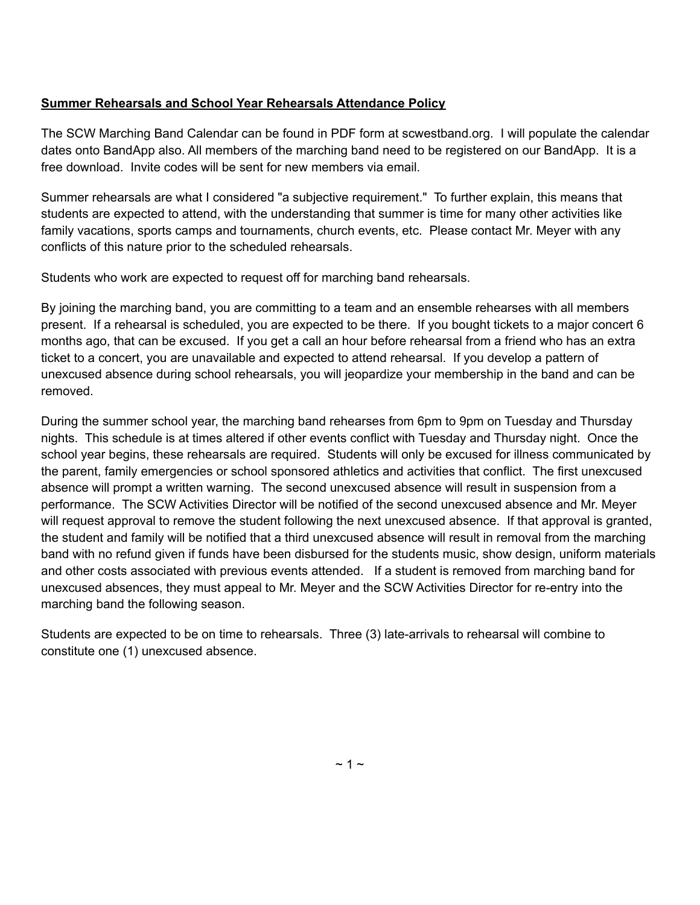#### **Summer Rehearsals and School Year Rehearsals Attendance Policy**

The SCW Marching Band Calendar can be found in PDF form at scwestband.org. I will populate the calendar dates onto BandApp also. All members of the marching band need to be registered on our BandApp. It is a free download. Invite codes will be sent for new members via email.

Summer rehearsals are what I considered "a subjective requirement." To further explain, this means that students are expected to attend, with the understanding that summer is time for many other activities like family vacations, sports camps and tournaments, church events, etc. Please contact Mr. Meyer with any conflicts of this nature prior to the scheduled rehearsals.

Students who work are expected to request off for marching band rehearsals.

By joining the marching band, you are committing to a team and an ensemble rehearses with all members present. If a rehearsal is scheduled, you are expected to be there. If you bought tickets to a major concert 6 months ago, that can be excused. If you get a call an hour before rehearsal from a friend who has an extra ticket to a concert, you are unavailable and expected to attend rehearsal. If you develop a pattern of unexcused absence during school rehearsals, you will jeopardize your membership in the band and can be removed.

During the summer school year, the marching band rehearses from 6pm to 9pm on Tuesday and Thursday nights. This schedule is at times altered if other events conflict with Tuesday and Thursday night. Once the school year begins, these rehearsals are required. Students will only be excused for illness communicated by the parent, family emergencies or school sponsored athletics and activities that conflict. The first unexcused absence will prompt a written warning. The second unexcused absence will result in suspension from a performance. The SCW Activities Director will be notified of the second unexcused absence and Mr. Meyer will request approval to remove the student following the next unexcused absence. If that approval is granted, the student and family will be notified that a third unexcused absence will result in removal from the marching band with no refund given if funds have been disbursed for the students music, show design, uniform materials and other costs associated with previous events attended. If a student is removed from marching band for unexcused absences, they must appeal to Mr. Meyer and the SCW Activities Director for re-entry into the marching band the following season.

Students are expected to be on time to rehearsals. Three (3) late-arrivals to rehearsal will combine to constitute one (1) unexcused absence.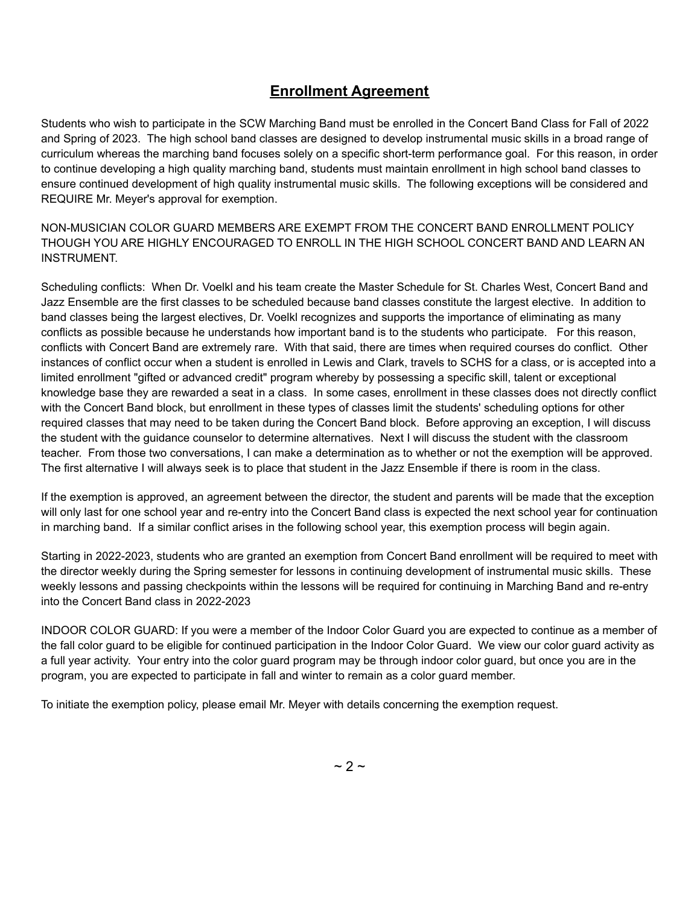## **Enrollment Agreement**

Students who wish to participate in the SCW Marching Band must be enrolled in the Concert Band Class for Fall of 2022 and Spring of 2023. The high school band classes are designed to develop instrumental music skills in a broad range of curriculum whereas the marching band focuses solely on a specific short-term performance goal. For this reason, in order to continue developing a high quality marching band, students must maintain enrollment in high school band classes to ensure continued development of high quality instrumental music skills. The following exceptions will be considered and REQUIRE Mr. Meyer's approval for exemption.

NON-MUSICIAN COLOR GUARD MEMBERS ARE EXEMPT FROM THE CONCERT BAND ENROLLMENT POLICY THOUGH YOU ARE HIGHLY ENCOURAGED TO ENROLL IN THE HIGH SCHOOL CONCERT BAND AND LEARN AN INSTRUMENT.

Scheduling conflicts: When Dr. Voelkl and his team create the Master Schedule for St. Charles West, Concert Band and Jazz Ensemble are the first classes to be scheduled because band classes constitute the largest elective. In addition to band classes being the largest electives, Dr. Voelkl recognizes and supports the importance of eliminating as many conflicts as possible because he understands how important band is to the students who participate. For this reason, conflicts with Concert Band are extremely rare. With that said, there are times when required courses do conflict. Other instances of conflict occur when a student is enrolled in Lewis and Clark, travels to SCHS for a class, or is accepted into a limited enrollment "gifted or advanced credit" program whereby by possessing a specific skill, talent or exceptional knowledge base they are rewarded a seat in a class. In some cases, enrollment in these classes does not directly conflict with the Concert Band block, but enrollment in these types of classes limit the students' scheduling options for other required classes that may need to be taken during the Concert Band block. Before approving an exception, I will discuss the student with the guidance counselor to determine alternatives. Next I will discuss the student with the classroom teacher. From those two conversations, I can make a determination as to whether or not the exemption will be approved. The first alternative I will always seek is to place that student in the Jazz Ensemble if there is room in the class.

If the exemption is approved, an agreement between the director, the student and parents will be made that the exception will only last for one school year and re-entry into the Concert Band class is expected the next school year for continuation in marching band. If a similar conflict arises in the following school year, this exemption process will begin again.

Starting in 2022-2023, students who are granted an exemption from Concert Band enrollment will be required to meet with the director weekly during the Spring semester for lessons in continuing development of instrumental music skills. These weekly lessons and passing checkpoints within the lessons will be required for continuing in Marching Band and re-entry into the Concert Band class in 2022-2023

INDOOR COLOR GUARD: If you were a member of the Indoor Color Guard you are expected to continue as a member of the fall color guard to be eligible for continued participation in the Indoor Color Guard. We view our color guard activity as a full year activity. Your entry into the color guard program may be through indoor color guard, but once you are in the program, you are expected to participate in fall and winter to remain as a color guard member.

To initiate the exemption policy, please email Mr. Meyer with details concerning the exemption request.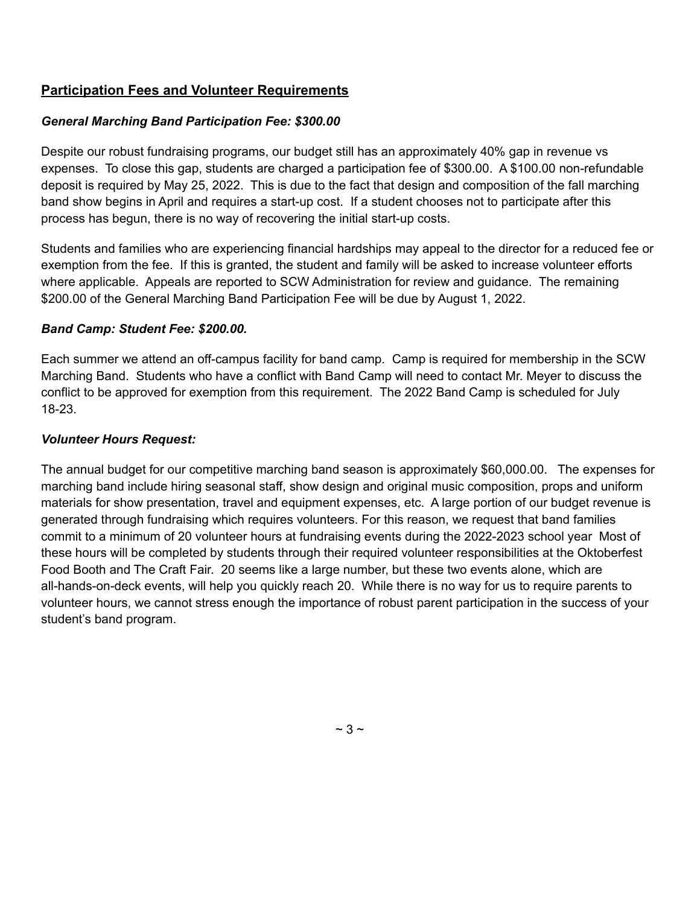## **Participation Fees and Volunteer Requirements**

#### *General Marching Band Participation Fee: \$300.00*

Despite our robust fundraising programs, our budget still has an approximately 40% gap in revenue vs expenses. To close this gap, students are charged a participation fee of \$300.00. A \$100.00 non-refundable deposit is required by May 25, 2022. This is due to the fact that design and composition of the fall marching band show begins in April and requires a start-up cost. If a student chooses not to participate after this process has begun, there is no way of recovering the initial start-up costs.

Students and families who are experiencing financial hardships may appeal to the director for a reduced fee or exemption from the fee. If this is granted, the student and family will be asked to increase volunteer efforts where applicable. Appeals are reported to SCW Administration for review and guidance. The remaining \$200.00 of the General Marching Band Participation Fee will be due by August 1, 2022.

#### *Band Camp: Student Fee: \$200.00.*

Each summer we attend an off-campus facility for band camp. Camp is required for membership in the SCW Marching Band. Students who have a conflict with Band Camp will need to contact Mr. Meyer to discuss the conflict to be approved for exemption from this requirement. The 2022 Band Camp is scheduled for July 18-23.

#### *Volunteer Hours Request:*

The annual budget for our competitive marching band season is approximately \$60,000.00. The expenses for marching band include hiring seasonal staff, show design and original music composition, props and uniform materials for show presentation, travel and equipment expenses, etc. A large portion of our budget revenue is generated through fundraising which requires volunteers. For this reason, we request that band families commit to a minimum of 20 volunteer hours at fundraising events during the 2022-2023 school year Most of these hours will be completed by students through their required volunteer responsibilities at the Oktoberfest Food Booth and The Craft Fair. 20 seems like a large number, but these two events alone, which are all-hands-on-deck events, will help you quickly reach 20. While there is no way for us to require parents to volunteer hours, we cannot stress enough the importance of robust parent participation in the success of your student's band program.

 $~\sim$  3  $~\sim$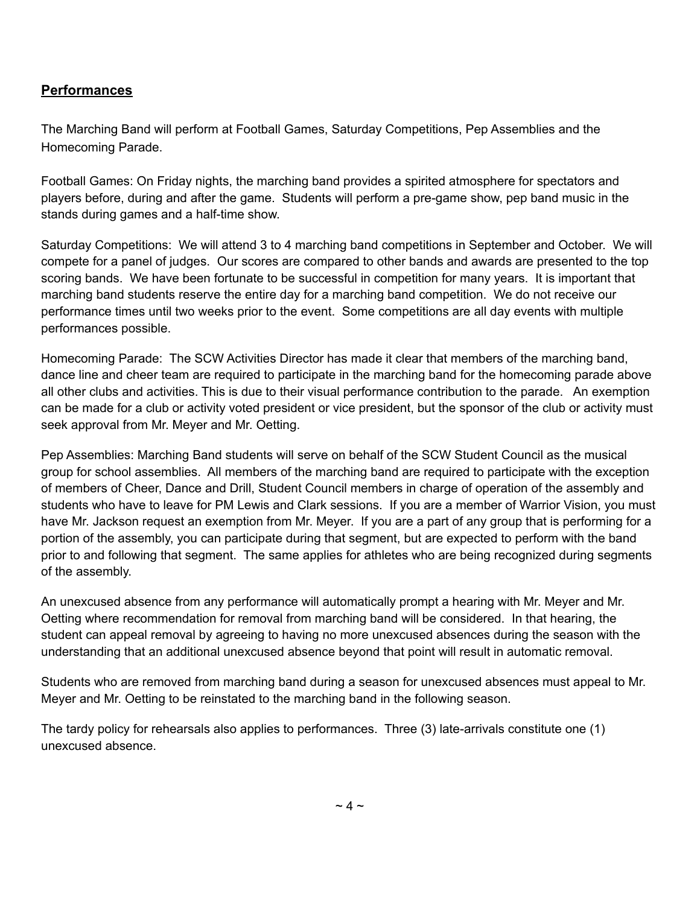### **Performances**

The Marching Band will perform at Football Games, Saturday Competitions, Pep Assemblies and the Homecoming Parade.

Football Games: On Friday nights, the marching band provides a spirited atmosphere for spectators and players before, during and after the game. Students will perform a pre-game show, pep band music in the stands during games and a half-time show.

Saturday Competitions: We will attend 3 to 4 marching band competitions in September and October. We will compete for a panel of judges. Our scores are compared to other bands and awards are presented to the top scoring bands. We have been fortunate to be successful in competition for many years. It is important that marching band students reserve the entire day for a marching band competition. We do not receive our performance times until two weeks prior to the event. Some competitions are all day events with multiple performances possible.

Homecoming Parade: The SCW Activities Director has made it clear that members of the marching band, dance line and cheer team are required to participate in the marching band for the homecoming parade above all other clubs and activities. This is due to their visual performance contribution to the parade. An exemption can be made for a club or activity voted president or vice president, but the sponsor of the club or activity must seek approval from Mr. Meyer and Mr. Oetting.

Pep Assemblies: Marching Band students will serve on behalf of the SCW Student Council as the musical group for school assemblies. All members of the marching band are required to participate with the exception of members of Cheer, Dance and Drill, Student Council members in charge of operation of the assembly and students who have to leave for PM Lewis and Clark sessions. If you are a member of Warrior Vision, you must have Mr. Jackson request an exemption from Mr. Meyer. If you are a part of any group that is performing for a portion of the assembly, you can participate during that segment, but are expected to perform with the band prior to and following that segment. The same applies for athletes who are being recognized during segments of the assembly.

An unexcused absence from any performance will automatically prompt a hearing with Mr. Meyer and Mr. Oetting where recommendation for removal from marching band will be considered. In that hearing, the student can appeal removal by agreeing to having no more unexcused absences during the season with the understanding that an additional unexcused absence beyond that point will result in automatic removal.

Students who are removed from marching band during a season for unexcused absences must appeal to Mr. Meyer and Mr. Oetting to be reinstated to the marching band in the following season.

The tardy policy for rehearsals also applies to performances. Three (3) late-arrivals constitute one (1) unexcused absence.